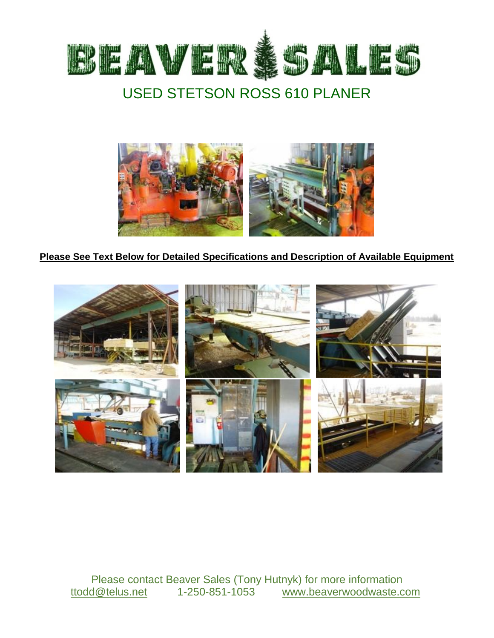



# **Please See Text Below for Detailed Specifications and Description of Available Equipment**



Please contact Beaver Sales (Tony Hutnyk) for more information ttodd@telus.net 1-250-851-1053 www.beaverwoodwaste.com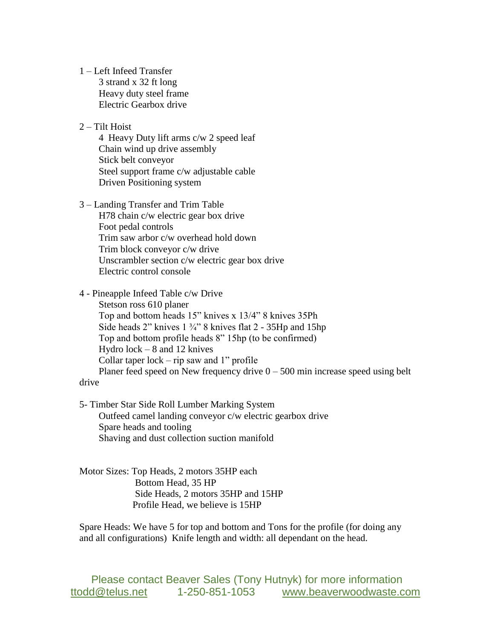1 – Left Infeed Transfer 3 strand x 32 ft long Heavy duty steel frame Electric Gearbox drive

## 2 – Tilt Hoist

 4 Heavy Duty lift arms c/w 2 speed leaf Chain wind up drive assembly Stick belt conveyor Steel support frame c/w adjustable cable Driven Positioning system

### 3 – Landing Transfer and Trim Table

 H78 chain c/w electric gear box drive Foot pedal controls Trim saw arbor c/w overhead hold down Trim block conveyor c/w drive Unscrambler section c/w electric gear box drive Electric control console

#### 4 - Pineapple Infeed Table c/w Drive

 Stetson ross 610 planer Top and bottom heads 15" knives x 13/4" 8 knives 35Ph Side heads 2" knives  $1\frac{3}{4}$ " 8 knives flat 2 - 35Hp and 15hp Top and bottom profile heads 8" 15hp (to be confirmed) Hydro lock – 8 and 12 knives Collar taper  $lock - rip$  saw and 1" profile Planer feed speed on New frequency drive  $0 - 500$  min increase speed using belt

#### drive

5- Timber Star Side Roll Lumber Marking System Outfeed camel landing conveyor c/w electric gearbox drive Spare heads and tooling Shaving and dust collection suction manifold

Motor Sizes: Top Heads, 2 motors 35HP each Bottom Head, 35 HP Side Heads, 2 motors 35HP and 15HP Profile Head, we believe is 15HP

Spare Heads: We have 5 for top and bottom and Tons for the profile (for doing any and all configurations) Knife length and width: all dependant on the head.

Please contact Beaver Sales (Tony Hutnyk) for more information ttodd@telus.net 1-250-851-1053 www.beaverwoodwaste.com